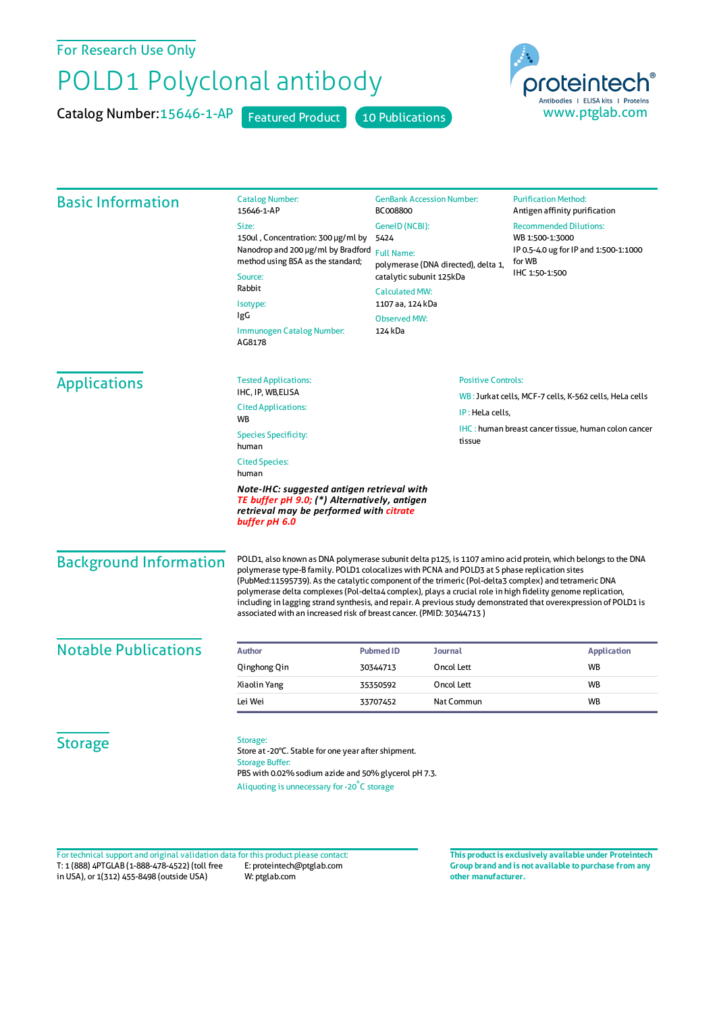For Research Use Only

## POLD1 Polyclonal antibody

Catalog Number: 15646-1-AP Featured Product 10 Publications



| <b>Basic Information</b>      | <b>Catalog Number:</b><br>15646-1-AP<br>Size:<br>150ul, Concentration: 300 µg/ml by<br>Nanodrop and 200 µg/ml by Bradford<br>method using BSA as the standard;<br>Source:<br>Rabbit<br>Isotype:<br>IgG<br><b>Immunogen Catalog Number:</b><br>AG8178                                                                                                                                                                                                                                                                                                                                                                            | <b>GenBank Accession Number:</b><br>BC008800<br>GenelD (NCBI):<br>5424<br><b>Full Name:</b><br>polymerase (DNA directed), delta 1,<br>catalytic subunit 125kDa<br><b>Calculated MW:</b><br>1107 aa, 124 kDa<br><b>Observed MW:</b><br>124 kDa |                | <b>Purification Method:</b><br>Antigen affinity purification<br><b>Recommended Dilutions:</b><br>WB 1:500-1:3000<br>IP 0.5-4.0 ug for IP and 1:500-1:1000<br>for WB<br>IHC 1:50-1:500 |
|-------------------------------|---------------------------------------------------------------------------------------------------------------------------------------------------------------------------------------------------------------------------------------------------------------------------------------------------------------------------------------------------------------------------------------------------------------------------------------------------------------------------------------------------------------------------------------------------------------------------------------------------------------------------------|-----------------------------------------------------------------------------------------------------------------------------------------------------------------------------------------------------------------------------------------------|----------------|---------------------------------------------------------------------------------------------------------------------------------------------------------------------------------------|
| <b>Applications</b>           | <b>Tested Applications:</b><br>IHC, IP, WB, ELISA<br><b>Cited Applications:</b>                                                                                                                                                                                                                                                                                                                                                                                                                                                                                                                                                 | <b>Positive Controls:</b><br>WB: Jurkat cells, MCF-7 cells, K-562 cells, HeLa cells                                                                                                                                                           |                |                                                                                                                                                                                       |
|                               | IP: HeLa cells,<br>WB<br><b>Species Specificity:</b><br>tissue<br>human<br><b>Cited Species:</b>                                                                                                                                                                                                                                                                                                                                                                                                                                                                                                                                |                                                                                                                                                                                                                                               |                | IHC: human breast cancer tissue, human colon cancer                                                                                                                                   |
|                               | human<br>Note-IHC: suggested antigen retrieval with<br>TE buffer pH 9.0; (*) Alternatively, antigen<br>retrieval may be performed with citrate<br>buffer pH 6.0                                                                                                                                                                                                                                                                                                                                                                                                                                                                 |                                                                                                                                                                                                                                               |                |                                                                                                                                                                                       |
| <b>Background Information</b> | POLD1, also known as DNA polymerase subunit delta p125, is 1107 amino acid protein, which belongs to the DNA<br>polymerase type-B family. POLD1 colocalizes with PCNA and POLD3 at S phase replication sites<br>(PubMed:11595739). As the catalytic component of the trimeric (Pol-delta3 complex) and tetrameric DNA<br>polymerase delta complexes (Pol-delta4 complex), plays a crucial role in high fidelity genome replication,<br>including in lagging strand synthesis, and repair. A previous study demonstrated that overexpression of POLD1 is<br>associated with an increased risk of breast cancer. (PMID: 30344713) |                                                                                                                                                                                                                                               |                |                                                                                                                                                                                       |
| <b>Notable Publications</b>   | <b>Author</b>                                                                                                                                                                                                                                                                                                                                                                                                                                                                                                                                                                                                                   | <b>Pubmed ID</b>                                                                                                                                                                                                                              | <b>Journal</b> | <b>Application</b>                                                                                                                                                                    |
|                               | Qinghong Qin                                                                                                                                                                                                                                                                                                                                                                                                                                                                                                                                                                                                                    | 30344713                                                                                                                                                                                                                                      | Oncol Lett     | <b>WB</b>                                                                                                                                                                             |
|                               | Xiaolin Yang                                                                                                                                                                                                                                                                                                                                                                                                                                                                                                                                                                                                                    | 35350592                                                                                                                                                                                                                                      | Oncol Lett     | <b>WB</b>                                                                                                                                                                             |
|                               | Lei Wei                                                                                                                                                                                                                                                                                                                                                                                                                                                                                                                                                                                                                         | 33707452                                                                                                                                                                                                                                      | Nat Commun     | <b>WB</b>                                                                                                                                                                             |
| <b>Storage</b>                | Storage:<br>Store at -20°C. Stable for one year after shipment.<br><b>Storage Buffer:</b><br>PBS with 0.02% sodium azide and 50% glycerol pH 7.3.<br>Aliquoting is unnecessary for -20°C storage                                                                                                                                                                                                                                                                                                                                                                                                                                |                                                                                                                                                                                                                                               |                |                                                                                                                                                                                       |

T: 1 (888) 4PTGLAB (1-888-478-4522) (toll free in USA), or 1(312) 455-8498 (outside USA) E: proteintech@ptglab.com W: ptglab.com Fortechnical support and original validation data forthis product please contact: **This productis exclusively available under Proteintech**

**Group brand and is not available to purchase from any other manufacturer.**